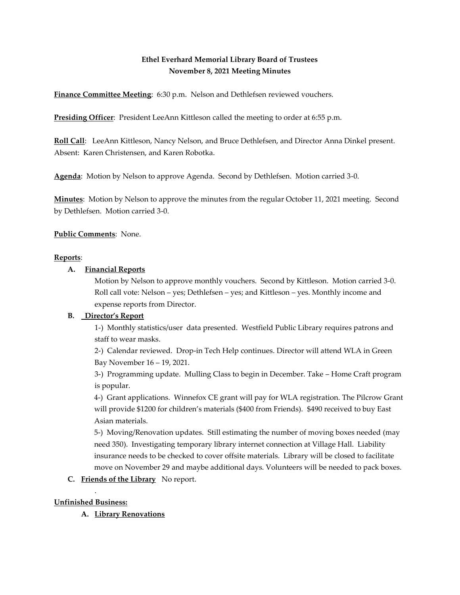# **Ethel Everhard Memorial Library Board of Trustees November 8, 2021 Meeting Minutes**

**Finance Committee Meeting**: 6:30 p.m. Nelson and Dethlefsen reviewed vouchers.

**Presiding Officer**: President LeeAnn Kittleson called the meeting to order at 6:55 p.m.

**Roll Call**: LeeAnn Kittleson, Nancy Nelson, and Bruce Dethlefsen, and Director Anna Dinkel present. Absent: Karen Christensen, and Karen Robotka.

**Agenda**: Motion by Nelson to approve Agenda. Second by Dethlefsen. Motion carried 3-0.

**Minutes**: Motion by Nelson to approve the minutes from the regular October 11, 2021 meeting. Second by Dethlefsen. Motion carried 3-0.

**Public Comments**: None.

#### **Reports**:

#### **A. Financial Reports**

Motion by Nelson to approve monthly vouchers. Second by Kittleson. Motion carried 3-0. Roll call vote: Nelson – yes; Dethlefsen – yes; and Kittleson – yes. Monthly income and expense reports from Director.

## **B. Director's Report**

1-) Monthly statistics/user data presented. Westfield Public Library requires patrons and staff to wear masks.

2-) Calendar reviewed. Drop-in Tech Help continues. Director will attend WLA in Green Bay November 16 – 19, 2021.

3-) Programming update. Mulling Class to begin in December. Take – Home Craft program is popular.

4-) Grant applications. Winnefox CE grant will pay for WLA registration. The Pilcrow Grant will provide \$1200 for children's materials (\$400 from Friends). \$490 received to buy East Asian materials.

5-) Moving/Renovation updates. Still estimating the number of moving boxes needed (may need 350). Investigating temporary library internet connection at Village Hall. Liability insurance needs to be checked to cover offsite materials. Library will be closed to facilitate move on November 29 and maybe additional days. Volunteers will be needed to pack boxes.

## **C. Friends of the Library** No report.

## . **Unfinished Business:**

**A. Library Renovations**